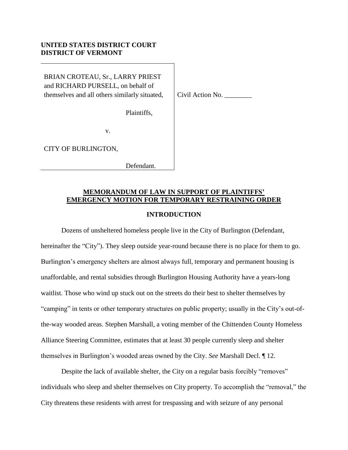### **UNITED STATES DISTRICT COURT DISTRICT OF VERMONT**

BRIAN CROTEAU, Sr., LARRY PRIEST and RICHARD PURSELL, on behalf of themselves and all others similarly situated,

Civil Action No. \_\_\_\_\_\_\_\_

Plaintiffs,

v.

CITY OF BURLINGTON,

Defendant.

# **MEMORANDUM OF LAW IN SUPPORT OF PLAINTIFFS' EMERGENCY MOTION FOR TEMPORARY RESTRAINING ORDER**

#### **INTRODUCTION**

Dozens of unsheltered homeless people live in the City of Burlington (Defendant, hereinafter the "City"). They sleep outside year-round because there is no place for them to go. Burlington's emergency shelters are almost always full, temporary and permanent housing is unaffordable, and rental subsidies through Burlington Housing Authority have a years-long waitlist. Those who wind up stuck out on the streets do their best to shelter themselves by "camping" in tents or other temporary structures on public property; usually in the City's out-ofthe-way wooded areas. Stephen Marshall, a voting member of the Chittenden County Homeless Alliance Steering Committee, estimates that at least 30 people currently sleep and shelter themselves in Burlington's wooded areas owned by the City. *See* Marshall Decl. ¶ 12.

Despite the lack of available shelter, the City on a regular basis forcibly "removes" individuals who sleep and shelter themselves on City property. To accomplish the "removal," the City threatens these residents with arrest for trespassing and with seizure of any personal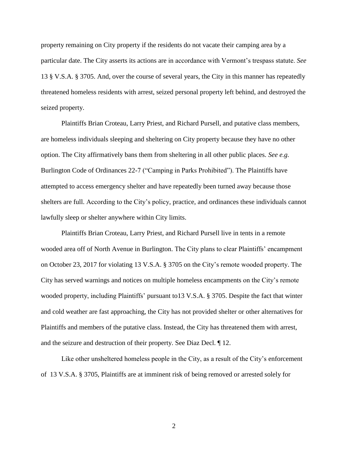property remaining on City property if the residents do not vacate their camping area by a particular date. The City asserts its actions are in accordance with Vermont's trespass statute. *See* 13 § V.S.A. § 3705. And, over the course of several years, the City in this manner has repeatedly threatened homeless residents with arrest, seized personal property left behind, and destroyed the seized property.

Plaintiffs Brian Croteau, Larry Priest, and Richard Pursell, and putative class members, are homeless individuals sleeping and sheltering on City property because they have no other option. The City affirmatively bans them from sheltering in all other public places. *See e.g.* Burlington Code of Ordinances 22-7 ("Camping in Parks Prohibited"). The Plaintiffs have attempted to access emergency shelter and have repeatedly been turned away because those shelters are full. According to the City's policy, practice, and ordinances these individuals cannot lawfully sleep or shelter anywhere within City limits.

Plaintiffs Brian Croteau, Larry Priest, and Richard Pursell live in tents in a remote wooded area off of North Avenue in Burlington. The City plans to clear Plaintiffs' encampment on October 23, 2017 for violating 13 V.S.A. § 3705 on the City's remote wooded property. The City has served warnings and notices on multiple homeless encampments on the City's remote wooded property, including Plaintiffs' pursuant to13 V.S.A. § 3705. Despite the fact that winter and cold weather are fast approaching, the City has not provided shelter or other alternatives for Plaintiffs and members of the putative class. Instead, the City has threatened them with arrest, and the seizure and destruction of their property. See Diaz Decl. ¶ 12.

Like other unsheltered homeless people in the City, as a result of the City's enforcement of 13 V.S.A. § 3705, Plaintiffs are at imminent risk of being removed or arrested solely for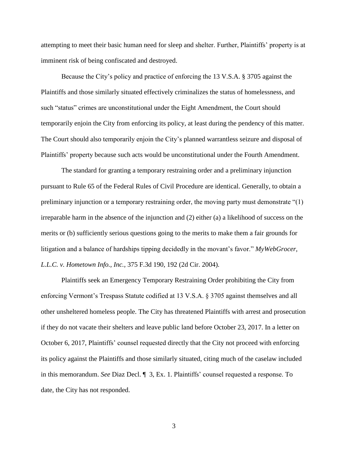attempting to meet their basic human need for sleep and shelter. Further, Plaintiffs' property is at imminent risk of being confiscated and destroyed.

Because the City's policy and practice of enforcing the 13 V.S.A. § 3705 against the Plaintiffs and those similarly situated effectively criminalizes the status of homelessness, and such "status" crimes are unconstitutional under the Eight Amendment, the Court should temporarily enjoin the City from enforcing its policy, at least during the pendency of this matter. The Court should also temporarily enjoin the City's planned warrantless seizure and disposal of Plaintiffs' property because such acts would be unconstitutional under the Fourth Amendment.

The standard for granting a temporary restraining order and a preliminary injunction pursuant to Rule 65 of the Federal Rules of Civil Procedure are identical. Generally, to obtain a preliminary injunction or a temporary restraining order, the moving party must demonstrate "(1) irreparable harm in the absence of the injunction and (2) either (a) a likelihood of success on the merits or (b) sufficiently serious questions going to the merits to make them a fair grounds for litigation and a balance of hardships tipping decidedly in the movant's favor." *MyWebGrocer, L.L.C. v. Hometown Info., Inc.,* 375 F.3d 190, 192 (2d Cir. 2004).

Plaintiffs seek an Emergency Temporary Restraining Order prohibiting the City from enforcing Vermont's Trespass Statute codified at 13 V.S.A. § 3705 against themselves and all other unsheltered homeless people. The City has threatened Plaintiffs with arrest and prosecution if they do not vacate their shelters and leave public land before October 23, 2017. In a letter on October 6, 2017, Plaintiffs' counsel requested directly that the City not proceed with enforcing its policy against the Plaintiffs and those similarly situated, citing much of the caselaw included in this memorandum. *See* Diaz Decl. ¶ 3, Ex. 1. Plaintiffs' counsel requested a response. To date, the City has not responded.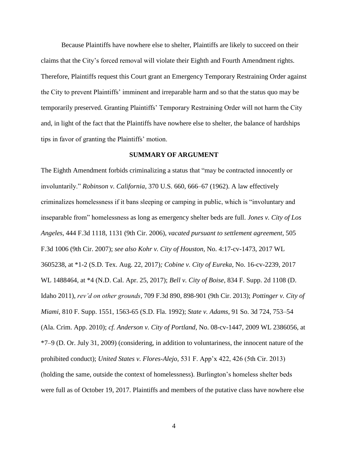Because Plaintiffs have nowhere else to shelter, Plaintiffs are likely to succeed on their claims that the City's forced removal will violate their Eighth and Fourth Amendment rights. Therefore, Plaintiffs request this Court grant an Emergency Temporary Restraining Order against the City to prevent Plaintiffs' imminent and irreparable harm and so that the status quo may be temporarily preserved. Granting Plaintiffs' Temporary Restraining Order will not harm the City and, in light of the fact that the Plaintiffs have nowhere else to shelter, the balance of hardships tips in favor of granting the Plaintiffs' motion.

#### **SUMMARY OF ARGUMENT**

The Eighth Amendment forbids criminalizing a status that "may be contracted innocently or involuntarily." *Robinson v. California*, 370 U.S. 660, 666–67 (1962). A law effectively criminalizes homelessness if it bans sleeping or camping in public, which is "involuntary and inseparable from" homelessness as long as emergency shelter beds are full. *Jones v. City of Los Angeles*, 444 F.3d 1118, 1131 (9th Cir. 2006), *vacated pursuant to settlement agreement*, 505 F.3d 1006 (9th Cir. 2007); *see also Kohr v. City of Houston,* No. 4:17-cv-1473, 2017 WL 3605238, at \*1-2 (S.D. Tex. Aug. 22, 2017)*; Cobine v. City of Eureka*, No. 16-cv-2239, 2017 WL 1488464, at \*4 (N.D. Cal. Apr. 25, 2017); *Bell v. City of Boise*, 834 F. Supp. 2d 1108 (D. Idaho 2011), *rev'd on other grounds*, 709 F.3d 890, 898-901 (9th Cir. 2013); *Pottinger v. City of Miami*, 810 F. Supp. 1551, 1563-65 (S.D. Fla. 1992); *State v. Adams*, 91 So. 3d 724, 753–54 (Ala. Crim. App. 2010); *cf. Anderson v. City of Portland*, No. 08-cv-1447, 2009 WL 2386056, at \*7–9 (D. Or. July 31, 2009) (considering, in addition to voluntariness, the innocent nature of the prohibited conduct); *United States v. Flores-Alejo*, 531 F. App'x 422, 426 (5th Cir. 2013) (holding the same, outside the context of homelessness). Burlington's homeless shelter beds were full as of October 19, 2017. Plaintiffs and members of the putative class have nowhere else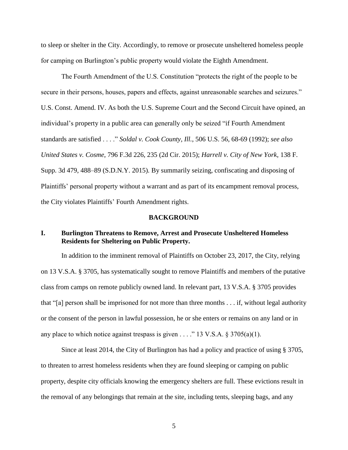to sleep or shelter in the City. Accordingly, to remove or prosecute unsheltered homeless people for camping on Burlington's public property would violate the Eighth Amendment.

The Fourth Amendment of the U.S. Constitution "protects the right of the people to be secure in their persons, houses, papers and effects, against unreasonable searches and seizures." U.S. Const. Amend. IV. As both the U.S. Supreme Court and the Second Circuit have opined, an individual's property in a public area can generally only be seized "if Fourth Amendment standards are satisfied . . . ." *Soldal v. Cook County, Ill.*, 506 U.S. 56, 68-69 (1992); *see also United States v. Cosme*, 796 F.3d 226, 235 (2d Cir. 2015); *Harrell v. City of New York*, 138 F. Supp. 3d 479, 488–89 (S.D.N.Y. 2015). By summarily seizing, confiscating and disposing of Plaintiffs' personal property without a warrant and as part of its encampment removal process, the City violates Plaintiffs' Fourth Amendment rights.

### **BACKGROUND**

### **I. Burlington Threatens to Remove, Arrest and Prosecute Unsheltered Homeless Residents for Sheltering on Public Property.**

In addition to the imminent removal of Plaintiffs on October 23, 2017, the City, relying on 13 V.S.A. § 3705, has systematically sought to remove Plaintiffs and members of the putative class from camps on remote publicly owned land. In relevant part, 13 V.S.A. § 3705 provides that "[a] person shall be imprisoned for not more than three months . . . if, without legal authority or the consent of the person in lawful possession, he or she enters or remains on any land or in any place to which notice against trespass is given . . . ." 13 V.S.A.  $\S 3705(a)(1)$ .

Since at least 2014, the City of Burlington has had a policy and practice of using § 3705, to threaten to arrest homeless residents when they are found sleeping or camping on public property, despite city officials knowing the emergency shelters are full. These evictions result in the removal of any belongings that remain at the site, including tents, sleeping bags, and any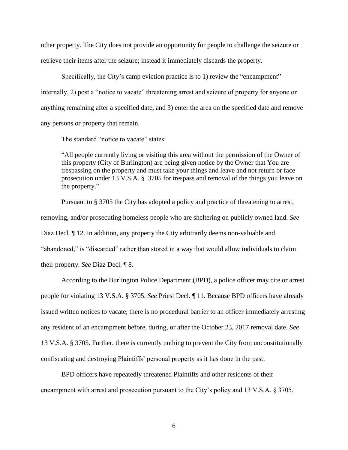other property. The City does not provide an opportunity for people to challenge the seizure or retrieve their items after the seizure; instead it immediately discards the property.

Specifically, the City's camp eviction practice is to 1) review the "encampment" internally, 2) post a "notice to vacate" threatening arrest and seizure of property for anyone or anything remaining after a specified date, and 3) enter the area on the specified date and remove any persons or property that remain.

The standard "notice to vacate" states:

"All people currently living or visiting this area without the permission of the Owner of this property (City of Burlington) are being given notice by the Owner that You are trespassing on the property and must take your things and leave and not return or face prosecution under 13 V.S.A. § 3705 for trespass and removal of the things you leave on the property."

Pursuant to § 3705 the City has adopted a policy and practice of threatening to arrest, removing, and/or prosecuting homeless people who are sheltering on publicly owned land. *See* Diaz Decl. ¶ 12. In addition, any property the City arbitrarily deems non-valuable and "abandoned," is "discarded" rather than stored in a way that would allow individuals to claim their property. *See* Diaz Decl. ¶ 8.

According to the Burlington Police Department (BPD), a police officer may cite or arrest people for violating 13 V.S.A. § 3705. *See* Priest Decl. ¶ 11. Because BPD officers have already issued written notices to vacate, there is no procedural barrier to an officer immediately arresting any resident of an encampment before, during, or after the October 23, 2017 removal date. *See* 13 V.S.A. § 3705. Further, there is currently nothing to prevent the City from unconstitutionally confiscating and destroying Plaintiffs' personal property as it has done in the past.

BPD officers have repeatedly threatened Plaintiffs and other residents of their encampment with arrest and prosecution pursuant to the City's policy and 13 V.S.A. § 3705.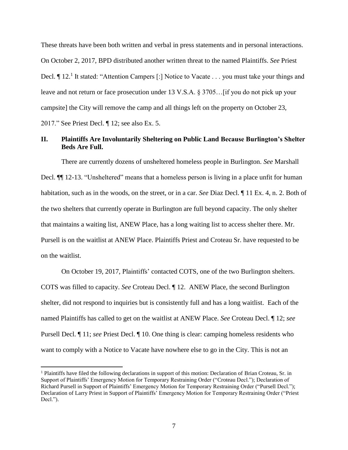These threats have been both written and verbal in press statements and in personal interactions. On October 2, 2017, BPD distributed another written threat to the named Plaintiffs. *See* Priest Decl. If 12.<sup>1</sup> It stated: "Attention Campers [:] Notice to Vacate . . . you must take your things and leave and not return or face prosecution under 13 V.S.A. § 3705…[if you do not pick up your campsite] the City will remove the camp and all things left on the property on October 23, 2017." See Priest Decl. ¶ 12; see also Ex. 5.

### **II. Plaintiffs Are Involuntarily Sheltering on Public Land Because Burlington's Shelter Beds Are Full.**

There are currently dozens of unsheltered homeless people in Burlington. *See* Marshall Decl. ¶¶ 12-13. "Unsheltered" means that a homeless person is living in a place unfit for human habitation, such as in the woods, on the street, or in a car. *See* Diaz Decl. ¶ 11 Ex. 4, n. 2. Both of the two shelters that currently operate in Burlington are full beyond capacity. The only shelter that maintains a waiting list, ANEW Place, has a long waiting list to access shelter there. Mr. Pursell is on the waitlist at ANEW Place. Plaintiffs Priest and Croteau Sr. have requested to be on the waitlist.

On October 19, 2017, Plaintiffs' contacted COTS, one of the two Burlington shelters. COTS was filled to capacity. *See* Croteau Decl. ¶ 12. ANEW Place, the second Burlington shelter, did not respond to inquiries but is consistently full and has a long waitlist. Each of the named Plaintiffs has called to get on the waitlist at ANEW Place. *See* Croteau Decl. ¶ 12; *see*  Pursell Decl. ¶ 11; *see* Priest Decl. ¶ 10. One thing is clear: camping homeless residents who want to comply with a Notice to Vacate have nowhere else to go in the City. This is not an

 $\overline{\phantom{a}}$ 

<sup>1</sup> Plaintiffs have filed the following declarations in support of this motion: Declaration of Brian Croteau, Sr. in Support of Plaintiffs' Emergency Motion for Temporary Restraining Order ("Croteau Decl."); Declaration of Richard Pursell in Support of Plaintiffs' Emergency Motion for Temporary Restraining Order ("Pursell Decl."); Declaration of Larry Priest in Support of Plaintiffs' Emergency Motion for Temporary Restraining Order ("Priest Decl.").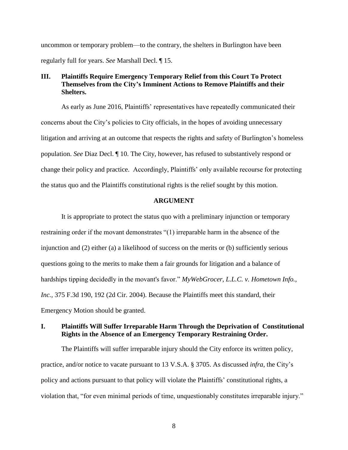uncommon or temporary problem—to the contrary, the shelters in Burlington have been regularly full for years. *See* Marshall Decl. ¶ 15.

### **III. Plaintiffs Require Emergency Temporary Relief from this Court To Protect Themselves from the City's Imminent Actions to Remove Plaintiffs and their Shelters.**

As early as June 2016, Plaintiffs' representatives have repeatedly communicated their concerns about the City's policies to City officials, in the hopes of avoiding unnecessary litigation and arriving at an outcome that respects the rights and safety of Burlington's homeless population. *See* Diaz Decl. ¶ 10. The City, however, has refused to substantively respond or change their policy and practice. Accordingly, Plaintiffs' only available recourse for protecting the status quo and the Plaintiffs constitutional rights is the relief sought by this motion.

### **ARGUMENT**

It is appropriate to protect the status quo with a preliminary injunction or temporary restraining order if the movant demonstrates "(1) irreparable harm in the absence of the injunction and (2) either (a) a likelihood of success on the merits or (b) sufficiently serious questions going to the merits to make them a fair grounds for litigation and a balance of hardships tipping decidedly in the movant's favor." *MyWebGrocer, L.L.C. v. Hometown Info., Inc.,* 375 F.3d 190, 192 (2d Cir. 2004). Because the Plaintiffs meet this standard, their Emergency Motion should be granted.

# **I. Plaintiffs Will Suffer Irreparable Harm Through the Deprivation of Constitutional Rights in the Absence of an Emergency Temporary Restraining Order.**

The Plaintiffs will suffer irreparable injury should the City enforce its written policy, practice, and/or notice to vacate pursuant to 13 V.S.A. § 3705. As discussed *infra*, the City's policy and actions pursuant to that policy will violate the Plaintiffs' constitutional rights, a violation that, "for even minimal periods of time, unquestionably constitutes irreparable injury."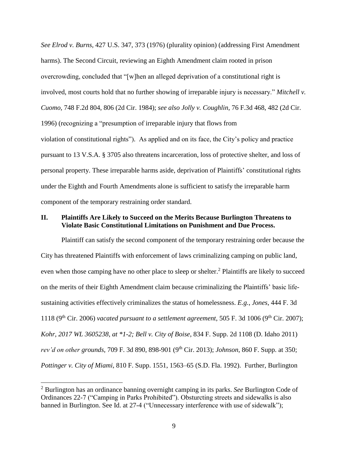*See Elrod v. Burns,* 427 U.S. 347, 373 (1976) (plurality opinion) (addressing First Amendment harms). The Second Circuit, reviewing an Eighth Amendment claim rooted in prison overcrowding, concluded that "[w]hen an alleged deprivation of a constitutional right is involved, most courts hold that no further showing of irreparable injury is necessary." *Mitchell v. Cuomo,* 748 F.2d 804, 806 (2d Cir. 1984); *see also Jolly v. Coughlin*, 76 F.3d 468, 482 (2d Cir. 1996) (recognizing a "presumption of irreparable injury that flows from violation of constitutional rights"). As applied and on its face, the City's policy and practice pursuant to 13 V.S.A. § 3705 also threatens incarceration, loss of protective shelter, and loss of personal property. These irreparable harms aside, deprivation of Plaintiffs' constitutional rights under the Eighth and Fourth Amendments alone is sufficient to satisfy the irreparable harm component of the temporary restraining order standard.

#### **II. Plaintiffs Are Likely to Succeed on the Merits Because Burlington Threatens to Violate Basic Constitutional Limitations on Punishment and Due Process.**

Plaintiff can satisfy the second component of the temporary restraining order because the City has threatened Plaintiffs with enforcement of laws criminalizing camping on public land, even when those camping have no other place to sleep or shelter.<sup>2</sup> Plaintiffs are likely to succeed on the merits of their Eighth Amendment claim because criminalizing the Plaintiffs' basic lifesustaining activities effectively criminalizes the status of homelessness. *E.g.*, *Jones*, 444 F. 3d 1118 (9<sup>th</sup> Cir. 2006) *vacated pursuant to a settlement agreement*, 505 F. 3d 1006 (9<sup>th</sup> Cir. 2007); *Kohr, 2017 WL 3605238, at \*1-2; Bell v. City of Boise*, 834 F. Supp. 2d 1108 (D. Idaho 2011) *rev'd on other grounds*, 709 F. 3d 890, 898-901 (9th Cir. 2013); *Johnson*, 860 F. Supp. at 350; *Pottinger v. City of Miami*, 810 F. Supp. 1551, 1563–65 (S.D. Fla. 1992). Further, Burlington

 $\overline{a}$ 

<sup>2</sup> Burlington has an ordinance banning overnight camping in its parks. *See* Burlington Code of Ordinances 22-7 ("Camping in Parks Prohibited"). Obsturcting streets and sidewalks is also banned in Burlington. See Id. at 27-4 ("Unnecessary interference with use of sidewalk");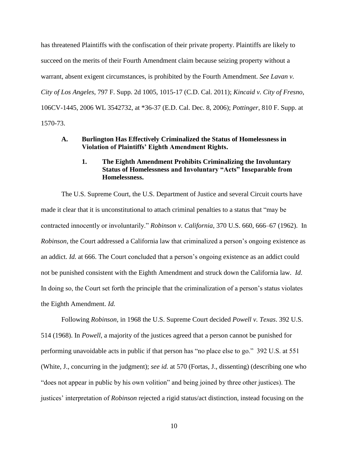has threatened Plaintiffs with the confiscation of their private property. Plaintiffs are likely to succeed on the merits of their Fourth Amendment claim because seizing property without a warrant, absent exigent circumstances, is prohibited by the Fourth Amendment. *See Lavan v. City of Los Angeles*, 797 F. Supp. 2d 1005, 1015-17 (C.D. Cal. 2011); *Kincaid v. City of Fresno*, 106CV-1445, 2006 WL 3542732, at \*36-37 (E.D. Cal. Dec. 8, 2006); *Pottinger*, 810 F. Supp. at 1570-73.

### **A. Burlington Has Effectively Criminalized the Status of Homelessness in Violation of Plaintiffs' Eighth Amendment Rights.**

### **1. The Eighth Amendment Prohibits Criminalizing the Involuntary Status of Homelessness and Involuntary "Acts" Inseparable from Homelessness.**

The U.S. Supreme Court, the U.S. Department of Justice and several Circuit courts have made it clear that it is unconstitutional to attach criminal penalties to a status that "may be contracted innocently or involuntarily." *Robinson v. California*, 370 U.S. 660, 666–67 (1962). In *Robinson*, the Court addressed a California law that criminalized a person's ongoing existence as an addict. *Id.* at 666. The Court concluded that a person's ongoing existence as an addict could not be punished consistent with the Eighth Amendment and struck down the California law. *Id*. In doing so, the Court set forth the principle that the criminalization of a person's status violates the Eighth Amendment. *Id.*

Following *Robinson,* in 1968 the U.S. Supreme Court decided *Powell v. Texas*. 392 U.S. 514 (1968). In *Powell*, a majority of the justices agreed that a person cannot be punished for performing unavoidable acts in public if that person has "no place else to go." 392 U.S. at 551 (White, J., concurring in the judgment); *see id.* at 570 (Fortas, J., dissenting) (describing one who "does not appear in public by his own volition" and being joined by three other justices). The justices' interpretation of *Robinson* rejected a rigid status/act distinction, instead focusing on the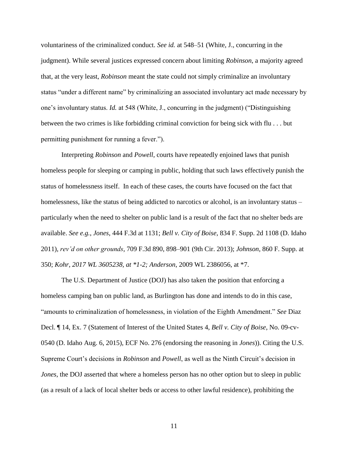voluntariness of the criminalized conduct. *See id.* at 548–51 (White, J., concurring in the judgment). While several justices expressed concern about limiting *Robinson*, a majority agreed that, at the very least, *Robinson* meant the state could not simply criminalize an involuntary status "under a different name" by criminalizing an associated involuntary act made necessary by one's involuntary status. *Id.* at 548 (White, J., concurring in the judgment) ("Distinguishing between the two crimes is like forbidding criminal conviction for being sick with flu . . . but permitting punishment for running a fever.").

Interpreting *Robinson* and *Powell*, courts have repeatedly enjoined laws that punish homeless people for sleeping or camping in public, holding that such laws effectively punish the status of homelessness itself. In each of these cases, the courts have focused on the fact that homelessness, like the status of being addicted to narcotics or alcohol, is an involuntary status – particularly when the need to shelter on public land is a result of the fact that no shelter beds are available. *See e.g.*, *Jones*, 444 F.3d at 1131; *Bell v. City of Boise*, 834 F. Supp. 2d 1108 (D. Idaho 2011), *rev'd on other grounds*, 709 F.3d 890, 898–901 (9th Cir. 2013); *Johnson*, 860 F. Supp. at 350; *Kohr, 2017 WL 3605238, at \*1-2; Anderson*, 2009 WL 2386056, at \*7.

The U.S. Department of Justice (DOJ) has also taken the position that enforcing a homeless camping ban on public land, as Burlington has done and intends to do in this case, "amounts to criminalization of homelessness, in violation of the Eighth Amendment." *See* Diaz Decl. ¶ 14, Ex. 7 (Statement of Interest of the United States 4, *Bell v. City of Boise*, No. 09-cv-0540 (D. Idaho Aug. 6, 2015), ECF No. 276 (endorsing the reasoning in *Jones*)). Citing the U.S. Supreme Court's decisions in *Robinson* and *Powell*, as well as the Ninth Circuit's decision in *Jones*, the DOJ asserted that where a homeless person has no other option but to sleep in public (as a result of a lack of local shelter beds or access to other lawful residence), prohibiting the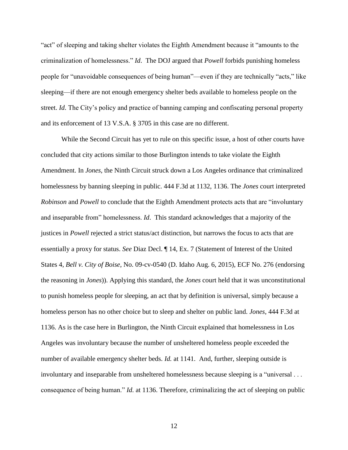"act" of sleeping and taking shelter violates the Eighth Amendment because it "amounts to the criminalization of homelessness." *Id*. The DOJ argued that *Powell* forbids punishing homeless people for "unavoidable consequences of being human"—even if they are technically "acts," like sleeping—if there are not enough emergency shelter beds available to homeless people on the street. *Id*. The City's policy and practice of banning camping and confiscating personal property and its enforcement of 13 V.S.A. § 3705 in this case are no different.

While the Second Circuit has yet to rule on this specific issue, a host of other courts have concluded that city actions similar to those Burlington intends to take violate the Eighth Amendment. In *Jones*, the Ninth Circuit struck down a Los Angeles ordinance that criminalized homelessness by banning sleeping in public. 444 F.3d at 1132, 1136. The *Jones* court interpreted *Robinson* and *Powell* to conclude that the Eighth Amendment protects acts that are "involuntary and inseparable from" homelessness. *Id*. This standard acknowledges that a majority of the justices in *Powell* rejected a strict status/act distinction, but narrows the focus to acts that are essentially a proxy for status. *See* Diaz Decl. ¶ 14, Ex. 7 (Statement of Interest of the United States 4, *Bell v. City of Boise*, No. 09-cv-0540 (D. Idaho Aug. 6, 2015), ECF No. 276 (endorsing the reasoning in *Jones*)). Applying this standard, the *Jones* court held that it was unconstitutional to punish homeless people for sleeping, an act that by definition is universal, simply because a homeless person has no other choice but to sleep and shelter on public land. *Jones*, 444 F.3d at 1136. As is the case here in Burlington, the Ninth Circuit explained that homelessness in Los Angeles was involuntary because the number of unsheltered homeless people exceeded the number of available emergency shelter beds. *Id.* at 1141. And, further, sleeping outside is involuntary and inseparable from unsheltered homelessness because sleeping is a "universal . . . consequence of being human." *Id.* at 1136. Therefore, criminalizing the act of sleeping on public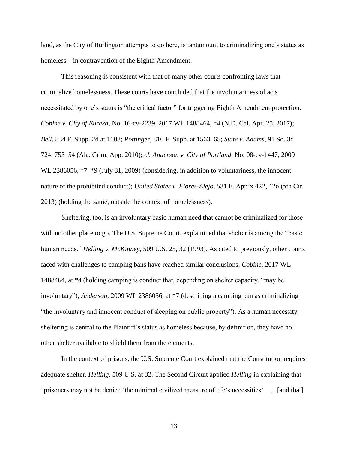land, as the City of Burlington attempts to do here, is tantamount to criminalizing one's status as homeless – in contravention of the Eighth Amendment.

This reasoning is consistent with that of many other courts confronting laws that criminalize homelessness. These courts have concluded that the involuntariness of acts necessitated by one's status is "the critical factor" for triggering Eighth Amendment protection. *Cobine v. City of Eureka*, No. 16-cv-2239, 2017 WL 1488464, \*4 (N.D. Cal. Apr. 25, 2017); *Bell*, 834 F. Supp. 2d at 1108; *Pottinger*, 810 F. Supp. at 1563–65; *State v. Adams*, 91 So. 3d 724, 753–54 (Ala. Crim. App. 2010); *cf. Anderson v. City of Portland*, No. 08-cv-1447, 2009 WL 2386056,  $*7-*9$  (July 31, 2009) (considering, in addition to voluntariness, the innocent nature of the prohibited conduct); *United States v. Flores-Alejo*, 531 F. App'x 422, 426 (5th Cir. 2013) (holding the same, outside the context of homelessness).

Sheltering, too, is an involuntary basic human need that cannot be criminalized for those with no other place to go. The U.S. Supreme Court, explainined that shelter is among the "basic human needs." *Helling v. McKinney*, 509 U.S. 25, 32 (1993). As cited to previously, other courts faced with challenges to camping bans have reached similar conclusions. *Cobine*, 2017 WL 1488464, at \*4 (holding camping is conduct that, depending on shelter capacity, "may be involuntary"); *Anderson*, 2009 WL 2386056, at \*7 (describing a camping ban as criminalizing "the involuntary and innocent conduct of sleeping on public property"). As a human necessity, sheltering is central to the Plaintiff's status as homeless because, by definition, they have no other shelter available to shield them from the elements.

In the context of prisons, the U.S. Supreme Court explained that the Constitution requires adequate shelter. *Helling*, 509 U.S. at 32*.* The Second Circuit applied *Helling* in explaining that "prisoners may not be denied 'the minimal civilized measure of life's necessities' . . . [and that]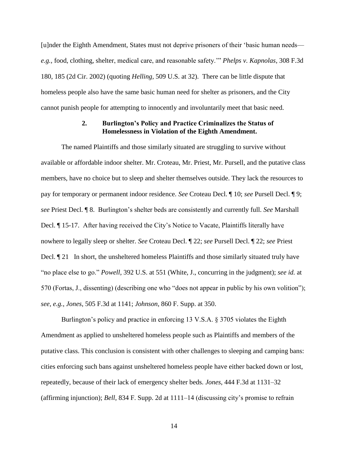[u]nder the Eighth Amendment, States must not deprive prisoners of their 'basic human needs *e.g.,* food, clothing, shelter, medical care, and reasonable safety.'" *Phelps v. Kapnolas*, 308 F.3d 180, 185 (2d Cir. 2002) (quoting *Helling,* 509 U.S. at 32). There can be little dispute that homeless people also have the same basic human need for shelter as prisoners, and the City cannot punish people for attempting to innocently and involuntarily meet that basic need.

### **2. Burlington's Policy and Practice Criminalizes the Status of Homelessness in Violation of the Eighth Amendment.**

The named Plaintiffs and those similarly situated are struggling to survive without available or affordable indoor shelter. Mr. Croteau, Mr. Priest, Mr. Pursell, and the putative class members, have no choice but to sleep and shelter themselves outside. They lack the resources to pay for temporary or permanent indoor residence. *See* Croteau Decl. ¶ 10; *see* Pursell Decl. ¶ 9; *see* Priest Decl. ¶ 8. Burlington's shelter beds are consistently and currently full. *See* Marshall Decl. ¶ 15-17. After having received the City's Notice to Vacate, Plaintiffs literally have nowhere to legally sleep or shelter. *See* Croteau Decl. ¶ 22; *see* Pursell Decl. ¶ 22; *see* Priest Decl. ¶ 21 In short, the unsheltered homeless Plaintiffs and those similarly situated truly have "no place else to go." *Powell*, 392 U.S. at 551 (White, J., concurring in the judgment); *see id.* at 570 (Fortas, J., dissenting) (describing one who "does not appear in public by his own volition"); *see, e.g.*, *Jones*, 505 F.3d at 1141; *Johnson*, 860 F. Supp. at 350.

Burlington's policy and practice in enforcing 13 V.S.A. § 3705 violates the Eighth Amendment as applied to unsheltered homeless people such as Plaintiffs and members of the putative class. This conclusion is consistent with other challenges to sleeping and camping bans: cities enforcing such bans against unsheltered homeless people have either backed down or lost, repeatedly, because of their lack of emergency shelter beds. *Jones*, 444 F.3d at 1131–32 (affirming injunction); *Bell*, 834 F. Supp. 2d at 1111–14 (discussing city's promise to refrain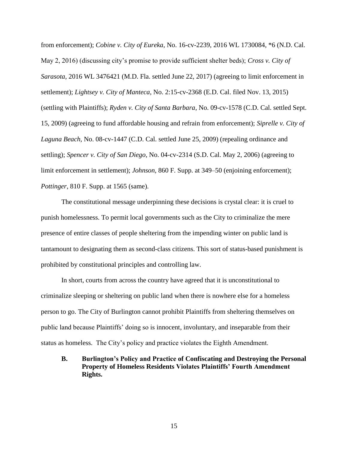from enforcement); *Cobine v. City of Eureka*, No. 16-cv-2239, 2016 WL 1730084, \*6 (N.D. Cal. May 2, 2016) (discussing city's promise to provide sufficient shelter beds); *Cross v. City of Sarasota*, 2016 WL 3476421 (M.D. Fla. settled June 22, 2017) (agreeing to limit enforcement in settlement); *Lightsey v. City of Manteca*, No. 2:15-cv-2368 (E.D. Cal. filed Nov. 13, 2015) (settling with Plaintiffs); *Ryden v. City of Santa Barbara*, No. 09-cv-1578 (C.D. Cal. settled Sept. 15, 2009) (agreeing to fund affordable housing and refrain from enforcement); *Siprelle v. City of Laguna Beach*, No. 08-cv-1447 (C.D. Cal. settled June 25, 2009) (repealing ordinance and settling); *Spencer v. City of San Diego*, No. 04-cv-2314 (S.D. Cal. May 2, 2006) (agreeing to limit enforcement in settlement); *Johnson*, 860 F. Supp. at 349–50 (enjoining enforcement); *Pottinger*, 810 F. Supp. at 1565 (same).

The constitutional message underpinning these decisions is crystal clear: it is cruel to punish homelessness. To permit local governments such as the City to criminalize the mere presence of entire classes of people sheltering from the impending winter on public land is tantamount to designating them as second-class citizens. This sort of status-based punishment is prohibited by constitutional principles and controlling law.

In short, courts from across the country have agreed that it is unconstitutional to criminalize sleeping or sheltering on public land when there is nowhere else for a homeless person to go. The City of Burlington cannot prohibit Plaintiffs from sheltering themselves on public land because Plaintiffs' doing so is innocent, involuntary, and inseparable from their status as homeless. The City's policy and practice violates the Eighth Amendment.

**B. Burlington's Policy and Practice of Confiscating and Destroying the Personal Property of Homeless Residents Violates Plaintiffs' Fourth Amendment Rights.**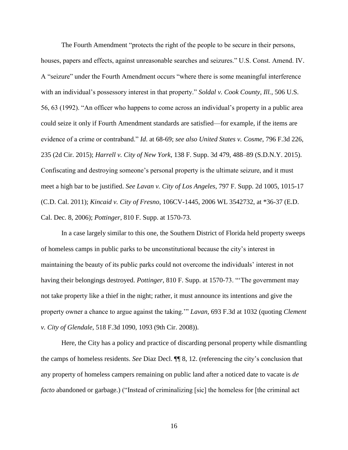The Fourth Amendment "protects the right of the people to be secure in their persons, houses, papers and effects, against unreasonable searches and seizures." U.S. Const. Amend. IV. A "seizure" under the Fourth Amendment occurs "where there is some meaningful interference with an individual's possessory interest in that property." *Soldal v. Cook County, Ill.*, 506 U.S. 56, 63 (1992). "An officer who happens to come across an individual's property in a public area could seize it only if Fourth Amendment standards are satisfied—for example, if the items are evidence of a crime or contraband." *Id*. at 68-69; *see also United States v. Cosme*, 796 F.3d 226, 235 (2d Cir. 2015); *Harrell v. City of New York*, 138 F. Supp. 3d 479, 488–89 (S.D.N.Y. 2015). Confiscating and destroying someone's personal property is the ultimate seizure, and it must meet a high bar to be justified. *See Lavan v. City of Los Angeles*, 797 F. Supp. 2d 1005, 1015-17 (C.D. Cal. 2011); *Kincaid v. City of Fresno*, 106CV-1445, 2006 WL 3542732, at \*36-37 (E.D. Cal. Dec. 8, 2006); *Pottinger*, 810 F. Supp. at 1570-73.

In a case largely similar to this one, the Southern District of Florida held property sweeps of homeless camps in public parks to be unconstitutional because the city's interest in maintaining the beauty of its public parks could not overcome the individuals' interest in not having their belongings destroyed. *Pottinger*, 810 F. Supp. at 1570-73. "'The government may not take property like a thief in the night; rather, it must announce its intentions and give the property owner a chance to argue against the taking.'" *Lavan*, 693 F.3d at 1032 (quoting *Clement v. City of Glendale*, 518 F.3d 1090, 1093 (9th Cir. 2008)).

Here, the City has a policy and practice of discarding personal property while dismantling the camps of homeless residents. *See* Diaz Decl. ¶¶ 8, 12. (referencing the city's conclusion that any property of homeless campers remaining on public land after a noticed date to vacate is *de facto* abandoned or garbage.) ("Instead of criminalizing [sic] the homeless for [the criminal act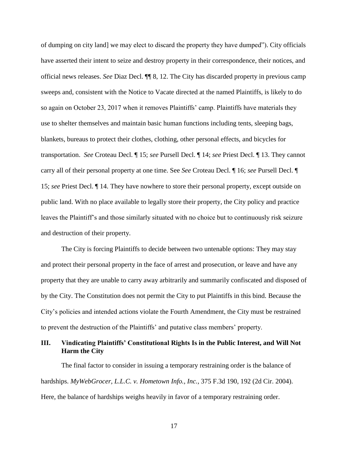of dumping on city land] we may elect to discard the property they have dumped"). City officials have asserted their intent to seize and destroy property in their correspondence, their notices, and official news releases. *See* Diaz Decl. ¶¶ 8, 12. The City has discarded property in previous camp sweeps and, consistent with the Notice to Vacate directed at the named Plaintiffs, is likely to do so again on October 23, 2017 when it removes Plaintiffs' camp. Plaintiffs have materials they use to shelter themselves and maintain basic human functions including tents, sleeping bags, blankets, bureaus to protect their clothes, clothing, other personal effects, and bicycles for transportation. *See* Croteau Decl. ¶ 15; *see* Pursell Decl. ¶ 14; *see* Priest Decl. ¶ 13. They cannot carry all of their personal property at one time. See *See* Croteau Decl. ¶ 16; *see* Pursell Decl. ¶ 15; *see* Priest Decl. ¶ 14. They have nowhere to store their personal property, except outside on public land. With no place available to legally store their property, the City policy and practice leaves the Plaintiff's and those similarly situated with no choice but to continuously risk seizure and destruction of their property.

The City is forcing Plaintiffs to decide between two untenable options: They may stay and protect their personal property in the face of arrest and prosecution, or leave and have any property that they are unable to carry away arbitrarily and summarily confiscated and disposed of by the City. The Constitution does not permit the City to put Plaintiffs in this bind. Because the City's policies and intended actions violate the Fourth Amendment, the City must be restrained to prevent the destruction of the Plaintiffs' and putative class members' property.

# **III. Vindicating Plaintiffs' Constitutional Rights Is in the Public Interest, and Will Not Harm the City**

The final factor to consider in issuing a temporary restraining order is the balance of hardships. *MyWebGrocer, L.L.C. v. Hometown Info., Inc.,* 375 F.3d 190, 192 (2d Cir. 2004). Here, the balance of hardships weighs heavily in favor of a temporary restraining order.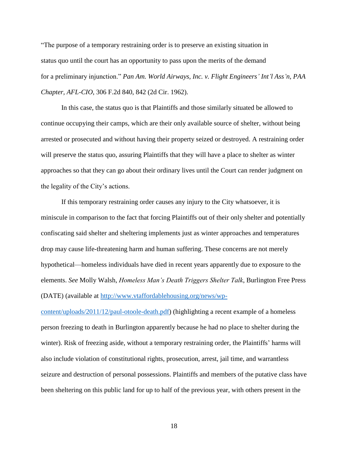"The purpose of a temporary restraining order is to preserve an existing situation in status quo until the court has an opportunity to pass upon the merits of the demand for a preliminary injunction." *Pan Am. World Airways, Inc. v. Flight Engineers' Int'l Ass'n, PAA Chapter, AFL-CIO*, 306 F.2d 840, 842 (2d Cir. 1962).

In this case, the status quo is that Plaintiffs and those similarly situated be allowed to continue occupying their camps, which are their only available source of shelter, without being arrested or prosecuted and without having their property seized or destroyed. A restraining order will preserve the status quo, assuring Plaintiffs that they will have a place to shelter as winter approaches so that they can go about their ordinary lives until the Court can render judgment on the legality of the City's actions.

If this temporary restraining order causes any injury to the City whatsoever, it is miniscule in comparison to the fact that forcing Plaintiffs out of their only shelter and potentially confiscating said shelter and sheltering implements just as winter approaches and temperatures drop may cause life-threatening harm and human suffering. These concerns are not merely hypothetical—homeless individuals have died in recent years apparently due to exposure to the elements. *See* Molly Walsh, *Homeless Man's Death Triggers Shelter Talk*, Burlington Free Press (DATE) (available at [http://www.vtaffordablehousing.org/news/wp-](http://www.vtaffordablehousing.org/news/wp-content/uploads/2011/12/paul-otoole-death.pdf)

[content/uploads/2011/12/paul-otoole-death.pdf\)](http://www.vtaffordablehousing.org/news/wp-content/uploads/2011/12/paul-otoole-death.pdf) (highlighting a recent example of a homeless person freezing to death in Burlington apparently because he had no place to shelter during the winter). Risk of freezing aside, without a temporary restraining order, the Plaintiffs' harms will also include violation of constitutional rights, prosecution, arrest, jail time, and warrantless seizure and destruction of personal possessions. Plaintiffs and members of the putative class have been sheltering on this public land for up to half of the previous year, with others present in the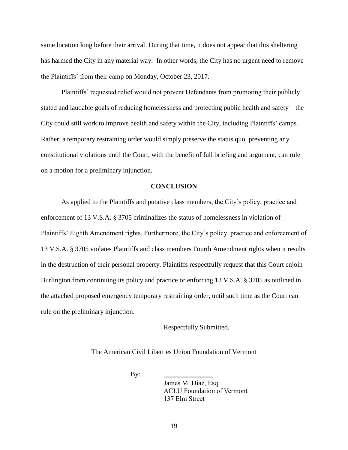same location long before their arrival. During that time, it does not appear that this sheltering has harmed the City in any material way. In other words, the City has no urgent need to remove the Plaintiffs' from their camp on Monday, October 23, 2017.

Plaintiffs' requested relief would not prevent Defendants from promoting their publicly stated and laudable goals of reducing homelessness and protecting public health and safety – the City could still work to improve health and safety within the City, including Plaintiffs' camps. Rather, a temporary restraining order would simply preserve the status quo, preventing any constitutional violations until the Court, with the benefit of full briefing and argument, can rule on a motion for a preliminary injunction.

#### **CONCLUSION**

As applied to the Plaintiffs and putative class members, the City's policy, practice and enforcement of 13 V.S.A. § 3705 criminalizes the status of homelessness in violation of Plaintiffs' Eighth Amendment rights. Furthermore, the City's policy, practice and enforcement of 13 V.S.A. § 3705 violates Plaintiffs and class members Fourth Amendment rights when it results in the destruction of their personal property. Plaintiffs respectfully request that this Court enjoin Burlington from continuing its policy and practice or enforcing 13 V.S.A. § 3705 as outlined in the attached proposed emergency temporary restraining order, until such time as the Court can rule on the preliminary injunction.

Respectfully Submitted,

The American Civil Liberties Union Foundation of Vermont

 $By:$ 

James M. Diaz, Esq. ACLU Foundation of Vermont 137 Elm Street